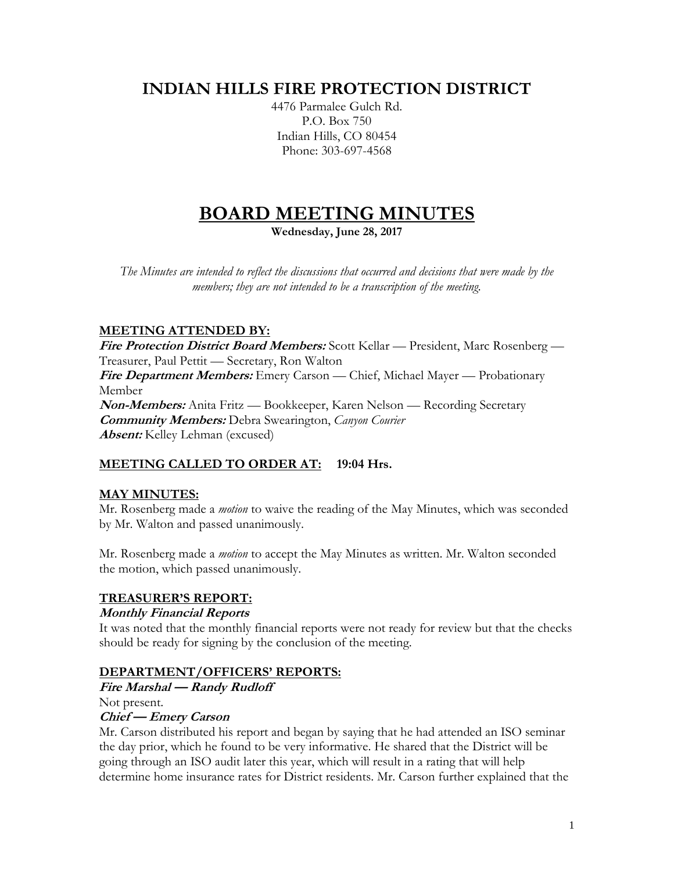# **INDIAN HILLS FIRE PROTECTION DISTRICT**

4476 Parmalee Gulch Rd. P.O. Box 750 Indian Hills, CO 80454 Phone: 303-697-4568

# **BOARD MEETING MINUTES**

**Wednesday, June 28, 2017**

*The Minutes are intended to reflect the discussions that occurred and decisions that were made by the members; they are not intended to be a transcription of the meeting.*

# **MEETING ATTENDED BY:**

**Fire Protection District Board Members:** Scott Kellar — President, Marc Rosenberg — Treasurer, Paul Pettit — Secretary, Ron Walton **Fire Department Members:** Emery Carson — Chief, Michael Mayer — Probationary Member **Non-Members:** Anita Fritz — Bookkeeper, Karen Nelson — Recording Secretary **Community Members:** Debra Swearington, *Canyon Courier* **Absent:** Kelley Lehman (excused)

# **MEETING CALLED TO ORDER AT: 19:04 Hrs.**

# **MAY MINUTES:**

Mr. Rosenberg made a *motion* to waive the reading of the May Minutes, which was seconded by Mr. Walton and passed unanimously.

Mr. Rosenberg made a *motion* to accept the May Minutes as written. Mr. Walton seconded the motion, which passed unanimously.

# **TREASURER'S REPORT:**

#### **Monthly Financial Reports**

It was noted that the monthly financial reports were not ready for review but that the checks should be ready for signing by the conclusion of the meeting.

# **DEPARTMENT/OFFICERS' REPORTS:**

**Fire Marshal — Randy Rudloff**

Not present.

# **Chief — Emery Carson**

Mr. Carson distributed his report and began by saying that he had attended an ISO seminar the day prior, which he found to be very informative. He shared that the District will be going through an ISO audit later this year, which will result in a rating that will help determine home insurance rates for District residents. Mr. Carson further explained that the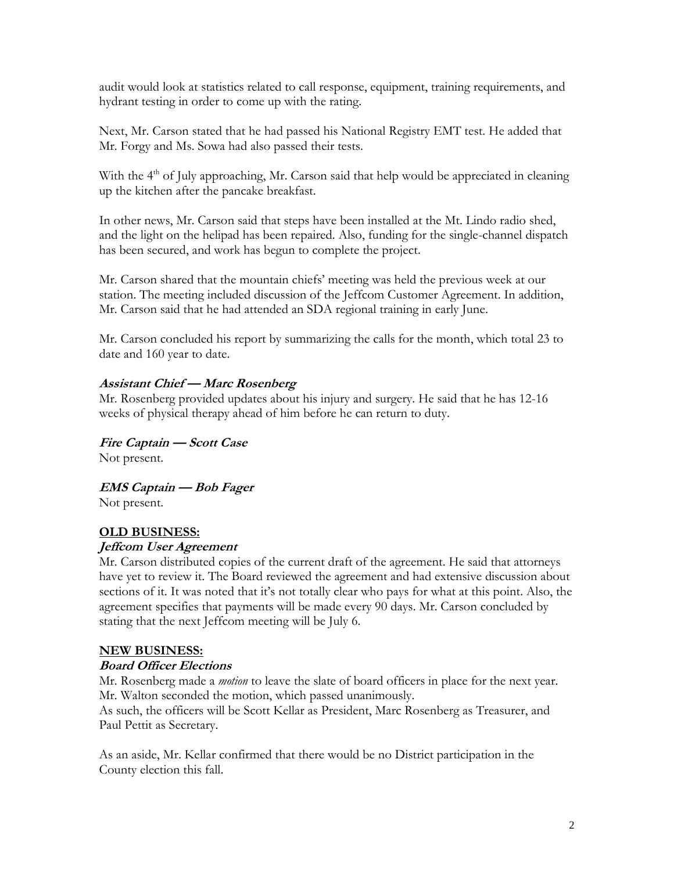audit would look at statistics related to call response, equipment, training requirements, and hydrant testing in order to come up with the rating.

Next, Mr. Carson stated that he had passed his National Registry EMT test. He added that Mr. Forgy and Ms. Sowa had also passed their tests.

With the 4<sup>th</sup> of July approaching, Mr. Carson said that help would be appreciated in cleaning up the kitchen after the pancake breakfast.

In other news, Mr. Carson said that steps have been installed at the Mt. Lindo radio shed, and the light on the helipad has been repaired. Also, funding for the single-channel dispatch has been secured, and work has begun to complete the project.

Mr. Carson shared that the mountain chiefs' meeting was held the previous week at our station. The meeting included discussion of the Jeffcom Customer Agreement. In addition, Mr. Carson said that he had attended an SDA regional training in early June.

Mr. Carson concluded his report by summarizing the calls for the month, which total 23 to date and 160 year to date.

# **Assistant Chief — Marc Rosenberg**

Mr. Rosenberg provided updates about his injury and surgery. He said that he has 12-16 weeks of physical therapy ahead of him before he can return to duty.

**Fire Captain — Scott Case** Not present.

**EMS Captain — Bob Fager** Not present.

# **OLD BUSINESS:**

# **Jeffcom User Agreement**

Mr. Carson distributed copies of the current draft of the agreement. He said that attorneys have yet to review it. The Board reviewed the agreement and had extensive discussion about sections of it. It was noted that it's not totally clear who pays for what at this point. Also, the agreement specifies that payments will be made every 90 days. Mr. Carson concluded by stating that the next Jeffcom meeting will be July 6.

#### **NEW BUSINESS:**

#### **Board Officer Elections**

Mr. Rosenberg made a *motion* to leave the slate of board officers in place for the next year. Mr. Walton seconded the motion, which passed unanimously.

As such, the officers will be Scott Kellar as President, Marc Rosenberg as Treasurer, and Paul Pettit as Secretary.

As an aside, Mr. Kellar confirmed that there would be no District participation in the County election this fall.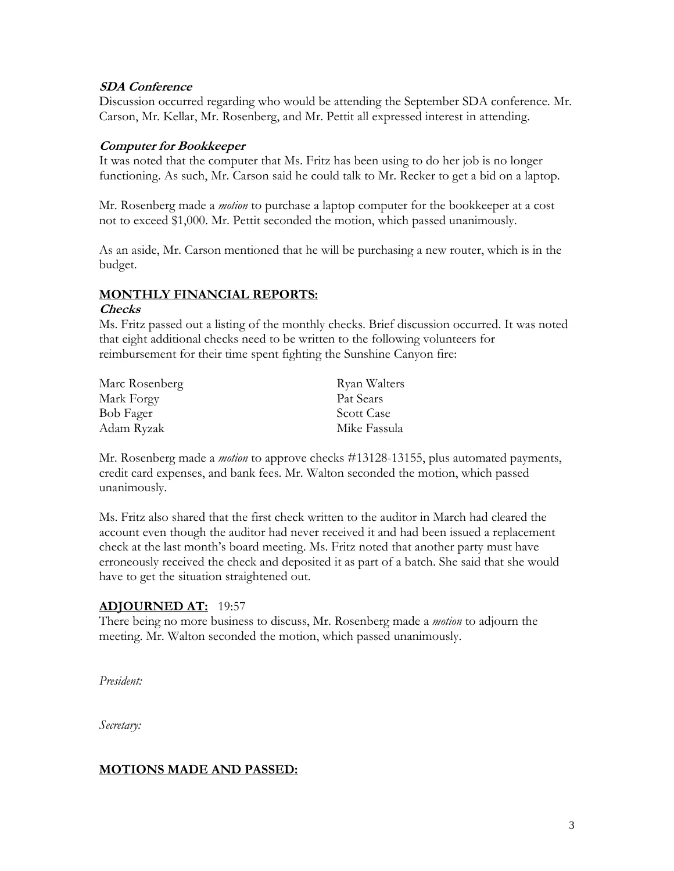#### **SDA Conference**

Discussion occurred regarding who would be attending the September SDA conference. Mr. Carson, Mr. Kellar, Mr. Rosenberg, and Mr. Pettit all expressed interest in attending.

#### **Computer for Bookkeeper**

It was noted that the computer that Ms. Fritz has been using to do her job is no longer functioning. As such, Mr. Carson said he could talk to Mr. Recker to get a bid on a laptop.

Mr. Rosenberg made a *motion* to purchase a laptop computer for the bookkeeper at a cost not to exceed \$1,000. Mr. Pettit seconded the motion, which passed unanimously.

As an aside, Mr. Carson mentioned that he will be purchasing a new router, which is in the budget.

#### **MONTHLY FINANCIAL REPORTS:**

#### **Checks**

Ms. Fritz passed out a listing of the monthly checks. Brief discussion occurred. It was noted that eight additional checks need to be written to the following volunteers for reimbursement for their time spent fighting the Sunshine Canyon fire:

| Marc Rosenberg | Ryan Walters      |
|----------------|-------------------|
| Mark Forgy     | Pat Sears         |
| Bob Fager      | <b>Scott Case</b> |
| Adam Ryzak     | Mike Fassula      |

Mr. Rosenberg made a *motion* to approve checks #13128-13155, plus automated payments, credit card expenses, and bank fees. Mr. Walton seconded the motion, which passed unanimously.

Ms. Fritz also shared that the first check written to the auditor in March had cleared the account even though the auditor had never received it and had been issued a replacement check at the last month's board meeting. Ms. Fritz noted that another party must have erroneously received the check and deposited it as part of a batch. She said that she would have to get the situation straightened out.

# **ADJOURNED AT:** 19:57

There being no more business to discuss, Mr. Rosenberg made a *motion* to adjourn the meeting. Mr. Walton seconded the motion, which passed unanimously.

*President:*

*Secretary:*

# **MOTIONS MADE AND PASSED:**